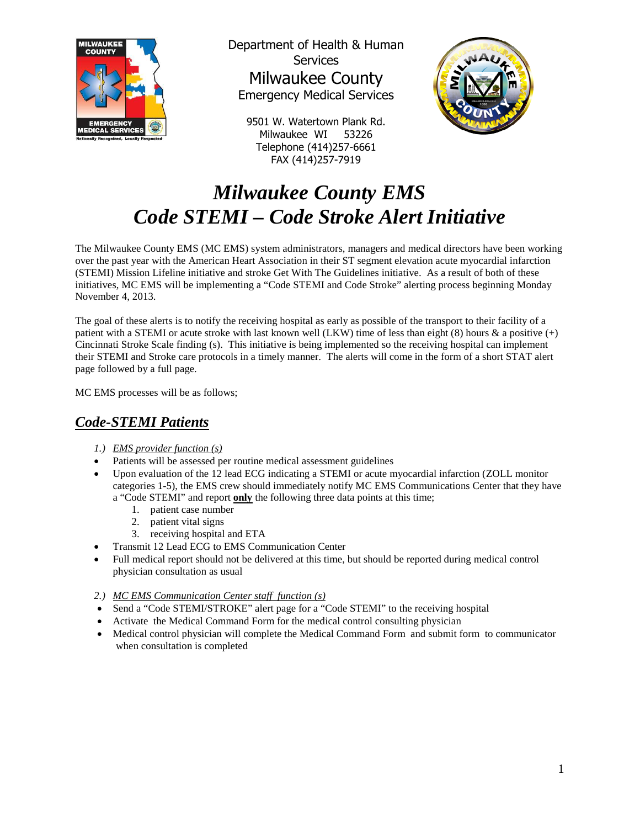

Department of Health & Human **Services** Milwaukee County Emergency Medical Services

9501 W. Watertown Plank Rd. Milwaukee WI 53226 Telephone (414)257-6661 FAX (414)257-7919



## *Milwaukee County EMS Code STEMI – Code Stroke Alert Initiative*

The Milwaukee County EMS (MC EMS) system administrators, managers and medical directors have been working over the past year with the American Heart Association in their ST segment elevation acute myocardial infarction (STEMI) Mission Lifeline initiative and stroke Get With The Guidelines initiative. As a result of both of these initiatives, MC EMS will be implementing a "Code STEMI and Code Stroke" alerting process beginning Monday November 4, 2013.

The goal of these alerts is to notify the receiving hospital as early as possible of the transport to their facility of a patient with a STEMI or acute stroke with last known well (LKW) time of less than eight (8) hours & a positive (+) Cincinnati Stroke Scale finding (s). This initiative is being implemented so the receiving hospital can implement their STEMI and Stroke care protocols in a timely manner. The alerts will come in the form of a short STAT alert page followed by a full page.

MC EMS processes will be as follows;

## *Code-STEMI Patients*

- *1.) EMS provider function (s)*
- Patients will be assessed per routine medical assessment guidelines
- Upon evaluation of the 12 lead ECG indicating a STEMI or acute myocardial infarction (ZOLL monitor categories 1-5), the EMS crew should immediately notify MC EMS Communications Center that they have a "Code STEMI" and report **only** the following three data points at this time;
	- 1. patient case number
	- 2. patient vital signs
	- 3. receiving hospital and ETA
- Transmit 12 Lead ECG to EMS Communication Center
- Full medical report should not be delivered at this time, but should be reported during medical control physician consultation as usual
- *2.) MC EMS Communication Center staff function (s)*
- Send a "Code STEMI/STROKE" alert page for a "Code STEMI" to the receiving hospital
- Activate the Medical Command Form for the medical control consulting physician
- Medical control physician will complete the Medical Command Form and submit form to communicator when consultation is completed